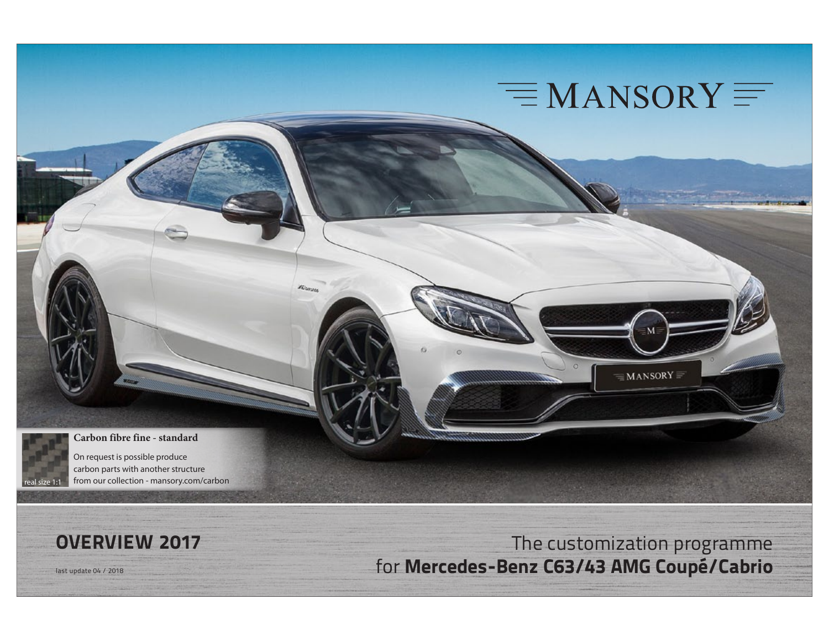

 $\equiv$  MANSORY  $\equiv$ 

#### **Carbon fibre fine - standard**

Biron



On request is possible produce carbon parts with another structure from our collection - mansory.com/carbon

**OVERVIEW 2017** The customization programme last update 04 / 2018 for **Mercedes-Benz C63/43 AMG Coupé/Cabrio**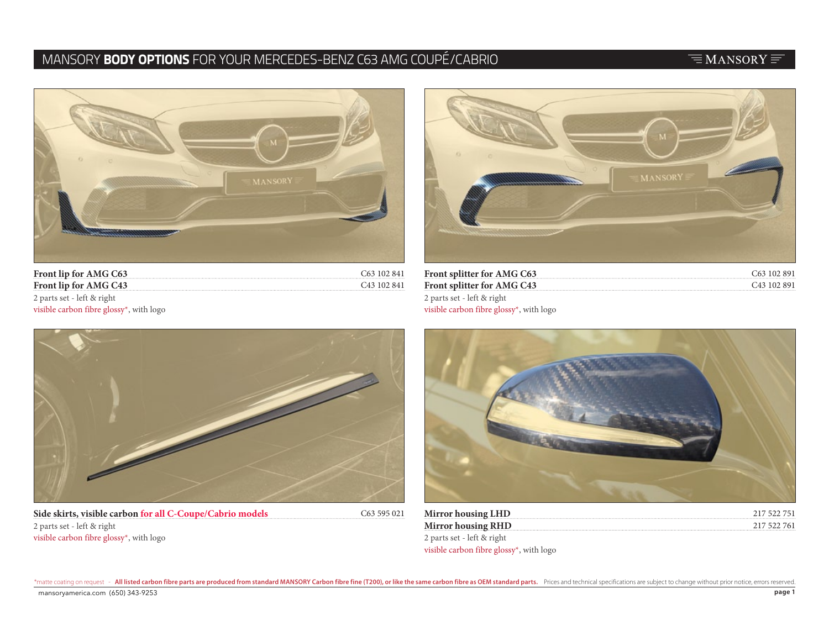# MANSORY **BODY OPTIONS** FOR YOUR MERCEDES-BENZ C63 AMG COUPÉ/CABRIO

### $\equiv$ MANSORY $\equiv$



| Front lip for AMG C63 C63 102 841                    |                         |
|------------------------------------------------------|-------------------------|
| Front lip for AMG C43                                | C <sub>43</sub> 102 841 |
| 2 parts set - left & right                           |                         |
| visible carbon fibre glossy <sup>*</sup> , with logo |                         |



| Front splitter for AMG C63                           | C <sub>63</sub> 102 891 |
|------------------------------------------------------|-------------------------|
| <b>Front splitter for AMG C43</b>                    | C <sub>43</sub> 102 891 |
| 2 parts set - left & right                           |                         |
| visible carbon fibre glossy <sup>*</sup> , with logo |                         |



**Side skirts, visible carbon for all C-Coupe/Cabrio models** 2 parts set - left & right visible carbon fibre glossy\*, with logo

C63 595 021



| <b>Mirror housing LHD</b>                            | 217 522 751 |
|------------------------------------------------------|-------------|
| <b>Mirror housing RHD</b>                            | 217 522 761 |
| 2 parts set - left & right                           |             |
| visible carbon fibre glossy <sup>*</sup> , with logo |             |

\*matte coating on request - All listed carbon fibre parts are produced from standard MANSORY Carbon fibre fine (T200), or like the same carbon fibre as OEM standard parts. Prices and technical specifications are subject to mansoryamerica.com  $(650)$  343-9253  $\,$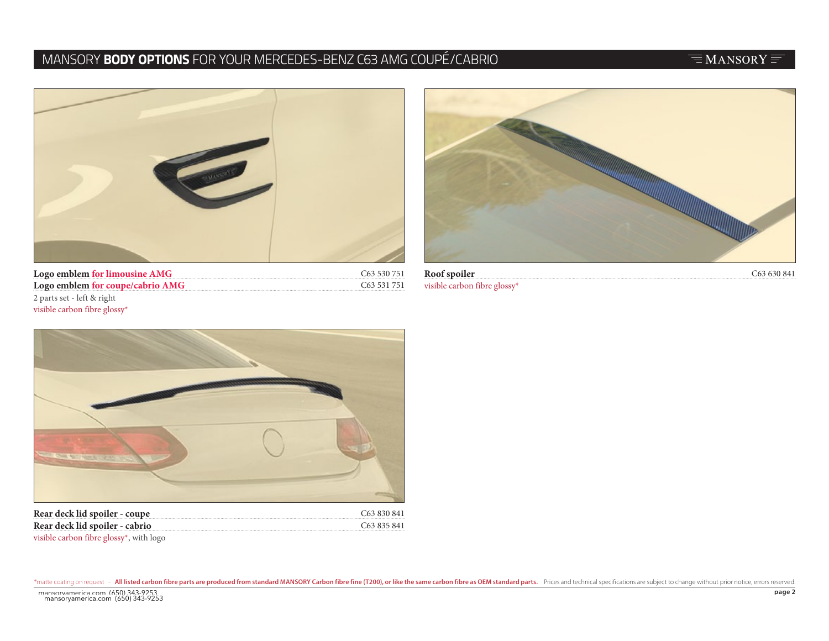## MANSORY **BODY OPTIONS** FOR YOUR MERCEDES-BENZ C63 AMG COUPÉ/CABRIO

### $\equiv$ MANSORY $\equiv$



C63 530 751 C63 531 751 **Logo emblem for limousine AMG Logo emblem for coupe/cabrio AMG** 2 parts set - left & right visible carbon fibre glossy\*



**Roof spoiler** C63 630 841 visible carbon fibre glossy\*



C63 830 841 C63 835 841 **Rear deck lid spoiler - coupe Rear deck lid spoiler - cabrio** visible carbon fibre glossy\*, with logo

\*matte coating on request - All listed carbon fibre parts are produced from standard MANSORY Carbon fibre fine (T200), or like the same carbon fibre as OEM standard parts. Prices and technical specifications are subject to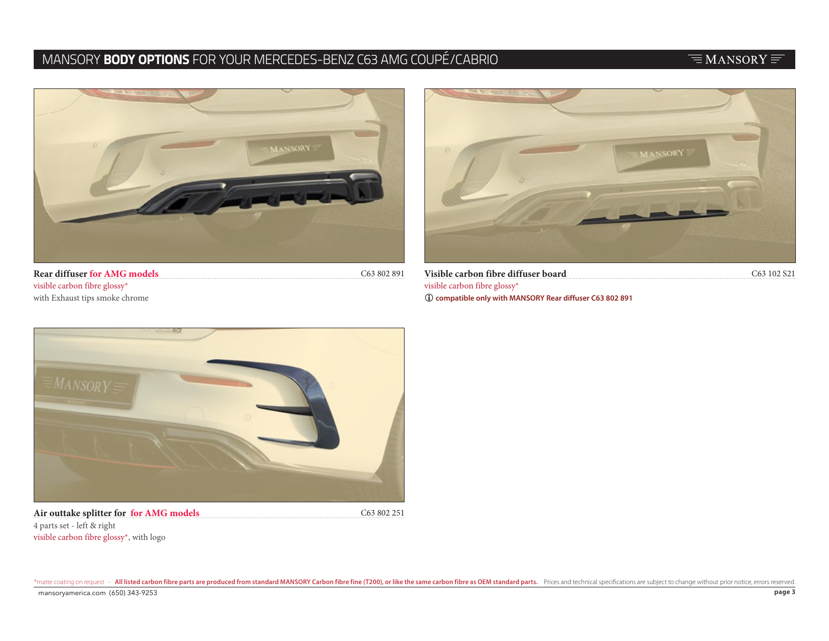# MANSORY **BODY OPTIONS** FOR YOUR MERCEDES-BENZ C63 AMG COUPÉ/CABRIO

## $\equiv$ MANSORY $\equiv$



**Rear diffuser for AMG models** C63 802 891 visible carbon fibre glossy\* with Exhaust tips smoke chrome



**Visible carbon fibre diffuser board** C63 102 S21 visible carbon fibre glossy\* L **compatible only with MANSORY Rear diffuser C63 802 891**



Air outtake splitter for for AMG models C63 802 251 4 parts set - left & right visible carbon fibre glossy\*, with logo

\*matte coating on request - All listed carbon fibre parts are produced from standard MANSORY Carbon fibre fine (T200), or like the same carbon fibre as OEM standard parts. Prices and technical specifications are subject to mansoryamerica.com  $(650)$  343-9253  $\,$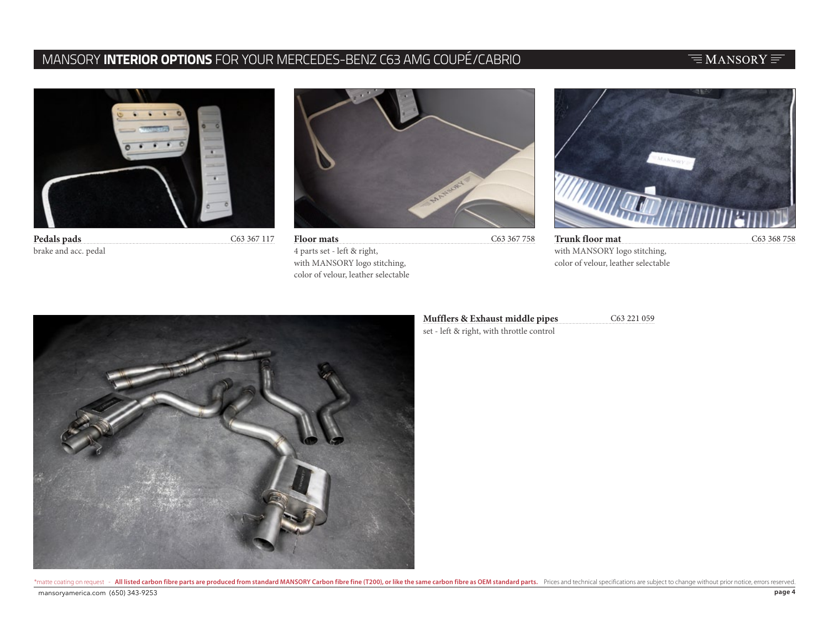## MANSORY **INTERIOR OPTIONS** FOR YOUR MERCEDES-BENZ C63 AMG COUPÉ/CABRIO

### $\equiv$ MANSORY $\equiv$



brake and acc. pedal



**Pedals pads** C63 367 117 C63 367 758 C63 368 758 **Floor mats** 4 parts set - left & right, with MANSORY logo stitching, color of velour, leather selectable



**Trunk floor mat** with MANSORY logo stitching, color of velour, leather selectable



#### **Mufflers & Exhaust middle pipes** C63 221 059

set - left & right, with throttle control

\*matte coating on request - All listed carbon fibre parts are produced from standard MANSORY Carbon fibre fine (T200), or like the same carbon fibre as OEM standard parts. Prices and technical specifications are subject to mansoryamerica.com  $(650)$  343-9253  $\,$